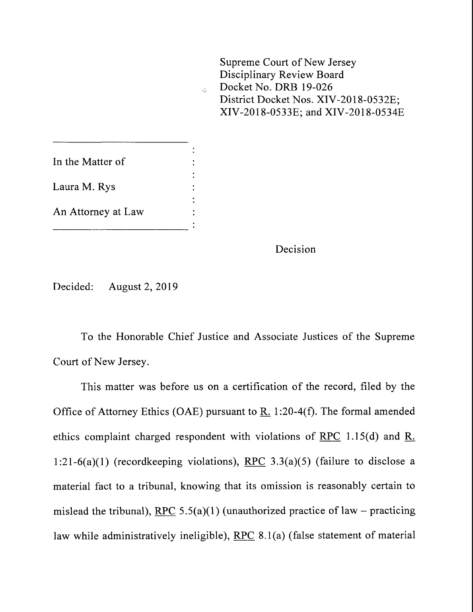

Decision

Decided: August 2, 2019

To the Honorable Chief Justice and Associate Justices of the Supreme Court of New Jersey.

This matter was before us on a certification of the record, filed by the Office of Attorney Ethics (OAE) pursuant to R. 1:20-4(f). The formal amended ethics complaint charged respondent with violations of RPC 1.15(d) and R<sub> $\cdot$ </sub>. 1:21-6(a)(1) (recordkeeping violations), RPC  $3.3(a)(5)$  (failure to disclose a material fact to a tribunal, knowing that its omission is reasonably certain to mislead the tribunal), RPC 5.5(a)(1) (unauthorized practice of law – practicing law while administratively ineligible), RPC 8.1(a) (false statement of material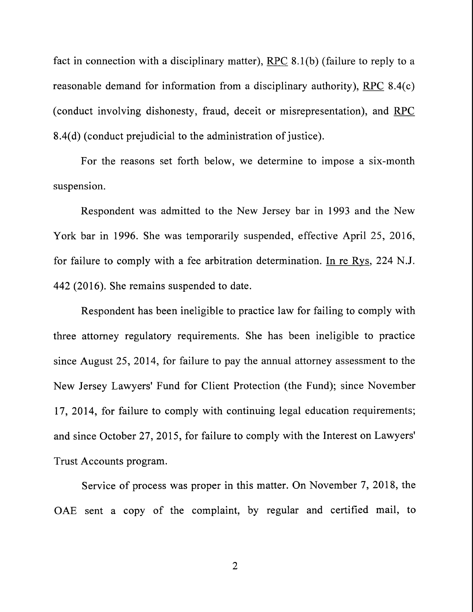fact in connection with a disciplinary matter), RPC 8.1 (b) (failure to reply to a reasonable demand for information from a disciplinary authority), RPC 8.4(c) (conduct involving dishonesty, fraud, deceit or misrepresentation), and RPC 8.4(d) (conduct prejudicial to the administration of justice).

For the reasons set forth below, we determine to impose a six-month suspension.

Respondent was admitted to the New Jersey bar in 1993 and the New York bar in 1996. She was temporarily suspended, effective April 25, 2016, for failure to comply with a fee arbitration determination. In re Rys, 224 N.J. 442 (2016). She remains suspended to date.

Respondent has been ineligible to practice law for failing to comply with three attorney regulatory requirements. She has been ineligible to practice since August 25, 2014, for failure to pay the annual attorney assessment to the New Jersey Lawyers' Fund for Client Protection (the Fund); since November 17, 2014, for failure to comply with continuing legal education requirements; and since October 27,2015, for failure to comply with the Interest on Lawyers' Trust Accounts program.

Service of process was proper in this matter. On November 7, 2018, the OAE sent a copy of the complaint, by regular and certified mail, to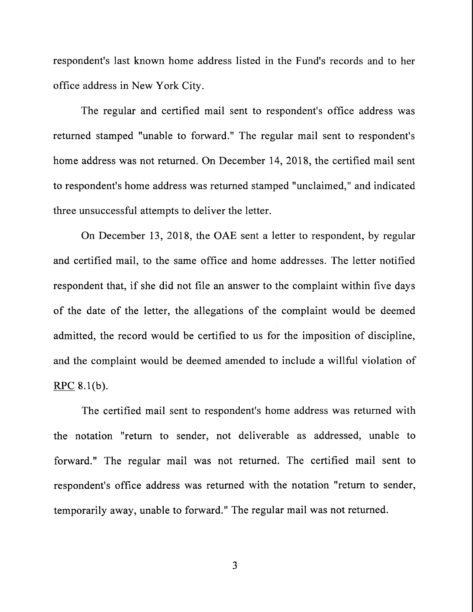respondent's last known home address listed in the Fund's records and to her office address in New York City.

The regular and certified mail sent to respondent's office address was returned stamped "unable to forward." The regular mail sent to respondent's home address was not returned. On December 14, 2018, the certified mail sent to respondent's home address was returned stamped "unclaimed," and indicated three unsuccessful attempts to deliver the letter.

On December 13, 2018, the OAE sent a letter to respondent, by regular and certified mail, to the same office and home addresses. The letter notified respondent that, if she did not file an answer to the complaint within five days of the date of the letter, the allegations of the complaint would be deemed admitted, the record would be certified to us for the imposition of discipline, and the complaint would be deemed amended to include a willful violation of  $RPC 8.1(b)$ .

The certified mail sent to respondent's home address was returned with the notation "return to sender, not deliverable as addressed, unable to forward." The regular mail was not returned. The certified mail sent to respondent's office address was returned with the notation "return to sender, temporarily away, unable to forward." The regular mail was not returned.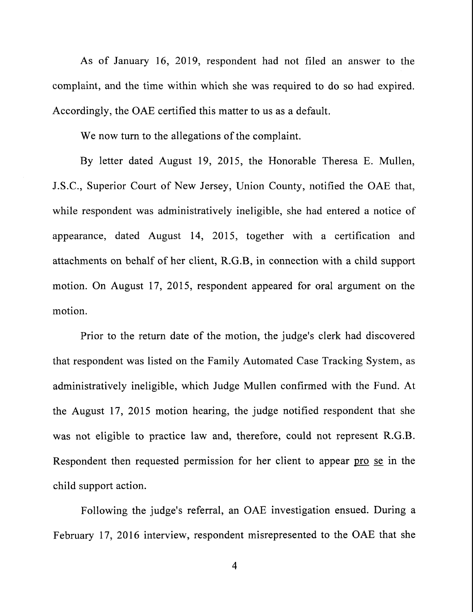As of January 16, 2019, respondent had not filed an answer to the complaint, and the time within which she was required to do so had expired. Accordingly, the OAE certified this matter to us as a default.

We now turn to the allegations of the complaint.

By letter dated August 19, 2015, the Honorable Theresa E. Mullen, J.S.C., Superior Court of New Jersey, Union County, notified the OAE that, while respondent was administratively ineligible, she had entered a notice of appearance, dated August 14, 2015, together with a certification and attachments on behalf of her client, R.G.B, in connection with a child support motion. On August 17, 2015, respondent appeared for oral argument on the motion.

Prior to the return date of the motion, the judge's clerk had discovered that respondent was listed on the Family Automated Case Tracking System, as administratively ineligible, which Judge Mullen confirmed with the Fund. At the August 17, 2015 motion hearing, the judge notified respondent that she was not eligible to practice law and, therefore, could not represent R.G.B. Respondent then requested permission for her client to appear pro se in the child support action.

Following the judge's referral, an OAE investigation ensued. During a February 17, 2016 interview, respondent misrepresented to the OAE that she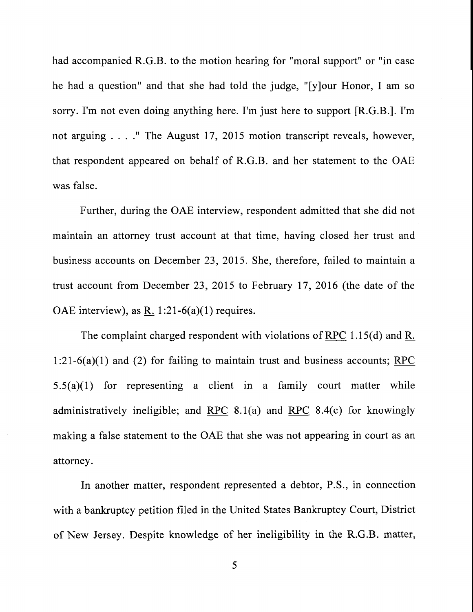had accompanied R.G.B. to the motion hearing for "moral support" or "in case he had a question" and that she had told the judge, "[y]our Honor, I am so sorry. I'm not even doing anything here. I'm just here to support [R.G.B.]. I'm not arguing ...." The August 17, 2015 motion transcript reveals, however, that respondent appeared on behalf of R.G.B. and her statement to the OAE was false.

Further, during the OAE interview, respondent admitted that she did not maintain an attorney trust account at that time, having closed her trust and business accounts on December 23, 2015. She, therefore, failed to maintain a trust account from December 23, 2015 to February 17, 2016 (the date of the OAE interview), as R. 1:21-6(a)(1) requires.

The complaint charged respondent with violations of RPC 1.15(d) and R. 1:21-6(a)(1) and (2) for failing to maintain trust and business accounts; RPC 5.5(a)(1) for representing a client in a family court matter while administratively ineligible; and RPC 8.1(a) and RPC 8.4(c) for knowingly making a false statement to the OAE that she was not appearing in court as an attorney.

In another matter, respondent represented a debtor, P.S., in connection with a bankruptcy petition filed in the United States Bankruptcy Court, District of New Jersey. Despite knowledge of her ineligibility in the R.G.B. matter,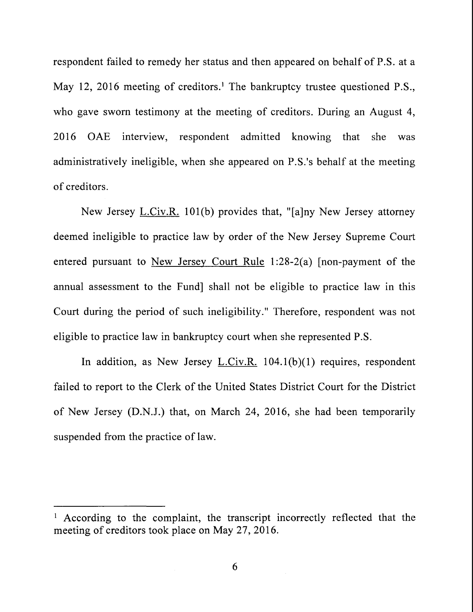respondent failed to remedy her status and then appeared on behalf of P.S. at a May 12, 2016 meeting of creditors.<sup>1</sup> The bankruptcy trustee questioned P.S., who gave sworn testimony at the meeting of creditors. During an August 4, 2016 OAE interview, respondent admitted knowing that she was administratively ineligible, when she appeared on P.S.'s behalf at the meeting of creditors.

New Jersey L.Civ.R. 101(b) provides that, "[a]ny New Jersey attorney deemed ineligible to practice law by order of the New Jersey Supreme Court entered pursuant to New Jersey Court Rule 1:28-2(a) [non-payment of the annual assessment to the Fund] shall not be eligible to practice law in this Court during the period of such ineligibility." Therefore, respondent was not eligible to practice law in bankruptcy court when she represented P.S.

In addition, as New Jersey L.Civ.R. 104.1(b)(1) requires, respondent failed to report to the Clerk of the United States District Court for the District of New Jersey (D.N.J.) that, on March 24, 2016, she had been temporarily suspended from the practice of law.

<sup>&</sup>lt;sup>1</sup> According to the complaint, the transcript incorrectly reflected that the meeting of creditors took place on May 27, 2016.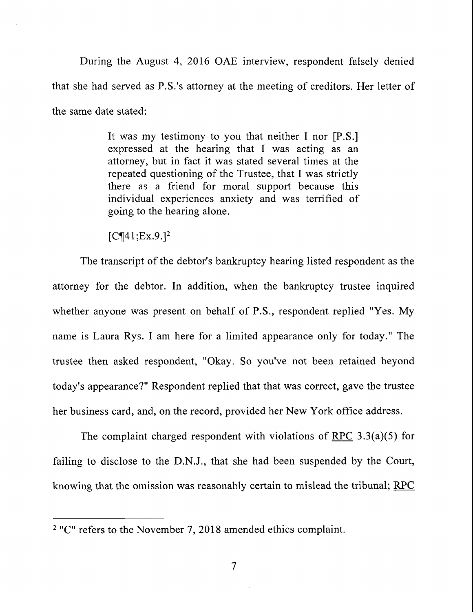During the August 4, 2016 OAE interview, respondent falsely denied that she had served as P.S.'s attorney at the meeting of creditors. Her letter of the same date stated:

> It was my testimony to you that neither I nor [P.S.] expressed at the hearing that I was acting as an attorney, but in fact it was stated several times at the repeated questioning of the Trustee, that I was strictly there as a friend for moral support because this individual experiences anxiety and was terrified of going to the hearing alone.

 $[C\P41;Ex.9.]<sup>2</sup>$ 

The transcript of the debtor's bankruptcy hearing listed respondent as the attorney for the debtor. In addition, when the bankruptcy trustee inquired whether anyone was present on behalf of P.S., respondent replied "Yes. My name is Laura Rys. I am here for a limited appearance only for today." The trustee then asked respondent, "Okay. So you've not been retained beyond today's appearance?" Respondent replied that that was correct, gave the trustee her business card, and, on the record, provided her New York office address.

The complaint charged respondent with violations of RPC 3.3(a)(5) for failing to disclose to the D.N.J., that she had been suspended by the Court, knowing that the omission was reasonably certain to mislead the tribunal; RPC

<sup>&</sup>lt;sup>2</sup> "C" refers to the November 7, 2018 amended ethics complaint.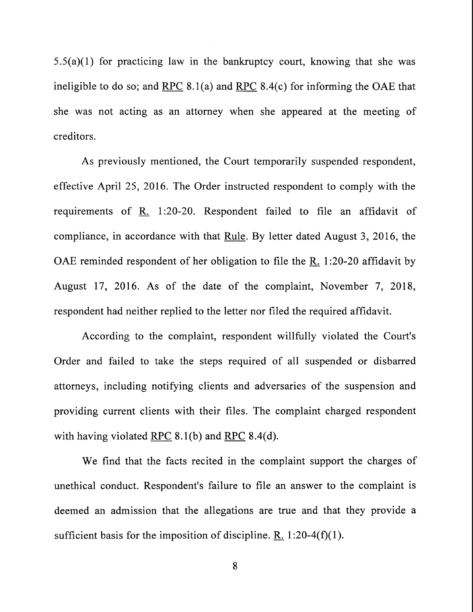5.5(a)(1) for practicing law in the bankruptcy court, knowing that she was ineligible to do so; and RPC  $8.1(a)$  and RPC  $8.4(c)$  for informing the OAE that she was not acting as an attorney when she appeared at the meeting of creditors.

As previously mentioned, the Court temporarily suspended respondent, effective April 25, 2016. The Order instructed respondent to comply with the requirements of R. 1:20-20. Respondent failed to file an affidavit of compliance, in accordance with that Rule. By letter dated August 3,2016, the OAE reminded respondent of her obligation to file the R. 1:20-20 affidavit by August 17, 2016. As of the date of the complaint, November 7, 2018, respondent had neither replied to the letter nor filed the required affidavit.

According to the complaint, respondent willfully violated the Court's Order and failed to take the steps required of all suspended or disbarred attorneys, including notifying clients and adversaries of the suspension and providing current clients with their files. The complaint charged respondent with having violated RPC  $8.1(b)$  and RPC  $8.4(d)$ .

We find that the facts recited in the complaint support the charges of unethical conduct. Respondent's failure to file an answer to the complaint is deemed an admission that the allegations are true and that they provide a sufficient basis for the imposition of discipline. R.  $1:20-4(f)(1)$ .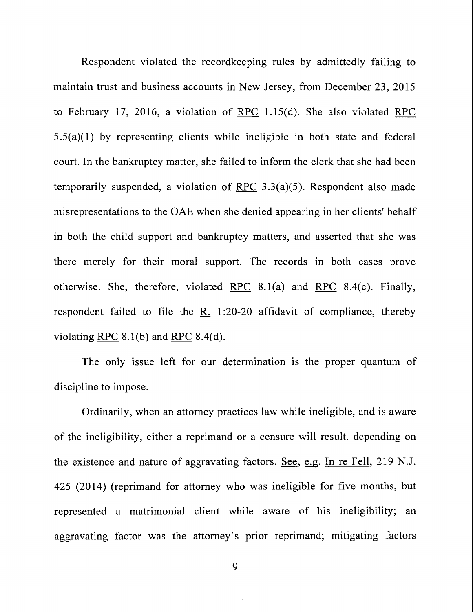Respondent violated the recordkeeping rules by admittedly failing to maintain trust and business accounts in New Jersey, from December 23, 2015 to February 17, 2016, a violation of RPC 1.15(d). She also violated RPC 5.5(a)(1) by representing clients while ineligible in both state and federal court. In the bankruptcy matter, she failed to inform the clerk that she had been temporarily suspended, a violation of RPC  $3.3(a)(5)$ . Respondent also made misrepresentations to the OAE when she denied appearing in her clients' behalf in both the child support and bankruptcy matters, and asserted that she was there merely for their moral support. The records in both cases prove otherwise. She, therefore, violated RPC 8.1(a) and RPC 8.4(c). Finally, respondent failed to file the R. 1:20-20 affidavit of compliance, thereby violating RPC  $8.1(b)$  and RPC  $8.4(d)$ .

The only issue left for our determination is the proper quantum of discipline to impose.

Ordinarily, when an attorney practices law while ineligible, and is aware of the ineligibility, either a reprimand or a censure will result, depending on the existence and nature of aggravating factors. See, e.g. In re Fell, 219 N.J. 425 (2014) (reprimand for attorney who was ineligible for five months, but represented a matrimonial client while aware of his ineligibility; an aggravating factor was the attorney's prior reprimand; mitigating factors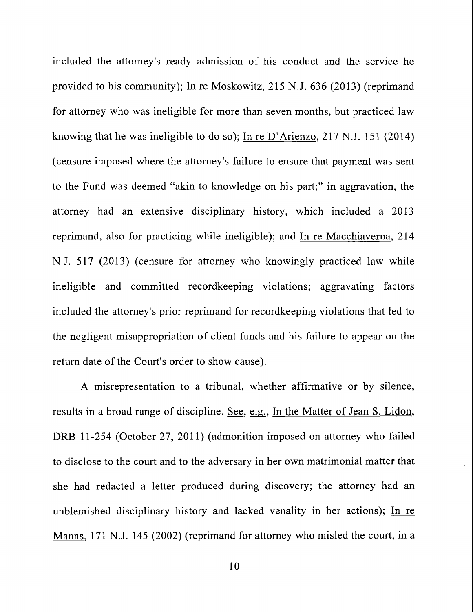included the attorney's ready admission of his conduct and the service he provided to his community); In re Moskowitz, 215 N.J. 636 (2013) (reprimand for attorney who was ineligible for more than seven months, but practiced law knowing that he was ineligible to do so); In re D'Arienzo, 217 N.J. 151 (2014) (censure imposed where the attorney's failure to ensure that payment was sent to the Fund was deemed "akin to knowledge on his part;" in aggravation, the attorney had an extensive disciplinary history, which included a 2013 reprimand, also for practicing while ineligible); and In re Macchiaverna, 214 N.J. 517 (2013) (censure for attorney who knowingly practiced law while ineligible and committed recordkeeping violations; aggravating factors included the attorney's prior reprimand for recordkeeping violations that led to the negligent misappropriation of client funds and his failure to appear on the return date of the Court's order to show cause).

A misrepresentation to a tribunal, whether affirmative or by silence, results in a broad range of discipline. See, e.g., In the Matter of Jean S. Lidon, DRB 11-254 (October 27, 2011) (admonition imposed on attorney who failed to disclose to the court and to the adversary in her own matrimonial matter that she had redacted a letter produced during discovery; the attorney had an unblemished disciplinary history and lacked venality in her actions); In re Manns, 171 N.J. 145 (2002) (reprimand for attorney who misled the court, in a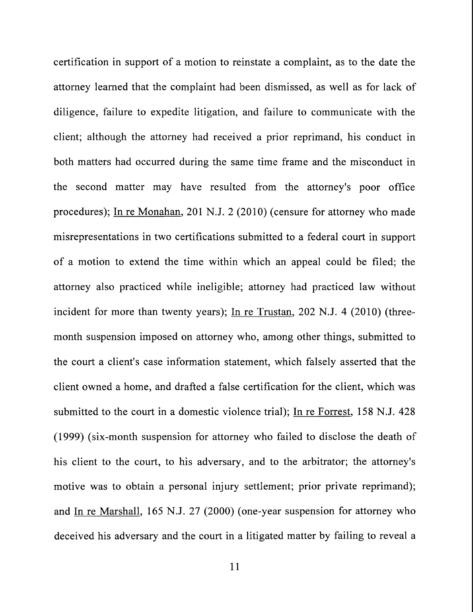certification in support of a motion to reinstate a complaint, as to the date the attorney learned that the complaint had been dismissed, as well as for lack of diligence, failure to expedite litigation, and failure to communicate with the client; although the attorney had received a prior reprimand, his conduct in both matters had occurred during the same time frame and the misconduct in the second matter may have resulted from the attorney's poor office procedures); In re Monahan, 201 N.J. 2 (2010) (censure for attorney who made misrepresentations in two certifications submitted to a federal court in support of a motion to extend the time within which an appeal could be filed; the attorney also practiced while ineligible; attorney had practiced law without incident for more than twenty years); In re Trustan, 202 N.J. 4 (2010) (threemonth suspension imposed on attorney who, among other things, submitted to the court a client's case information statement, which falsely asserted that the client owned a home, and drafted a false certification for the client, which was submitted to the court in a domestic violence trial); In re Forrest, 158 N.J. 428 (1999) (six-month suspension for attorney who failed to disclose the death of his client to the court, to his adversary, and to the arbitrator; the attorney's motive was to obtain a personal injury settlement; prior private reprimand); and In re Marshall, 165 N.J. 27 (2000) (one-year suspension for attorney who deceived his adversary and the court in a litigated matter by failing to reveal a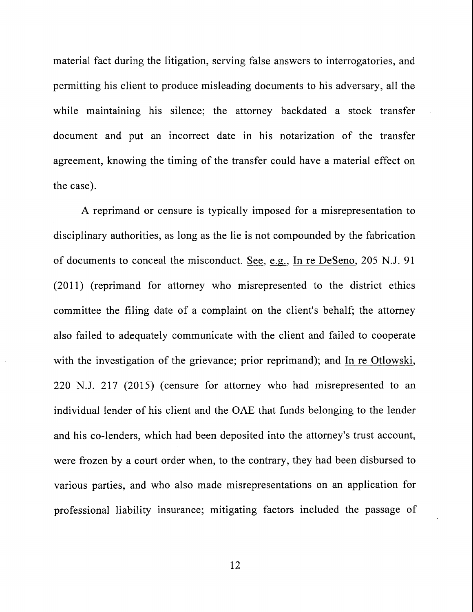material fact during the litigation, serving false answers to interrogatories, and permitting his client to produce misleading documents to his adversary, all the while maintaining his silence; the attorney backdated a stock transfer document and put an incorrect date in his notarization of the transfer agreement, knowing the timing of the transfer could have a material effect on the case).

A reprimand or censure is typically imposed for a misrepresentation to disciplinary authorities, as long as the lie is not compounded by the fabrication of documents to conceal the misconduct. See, e.g., In re DeSeno, 205 N.J. 91 (2011) (reprimand for attorney who misrepresented to the district ethics committee the filing date of a complaint on the client's behalf; the attorney also failed to adequately communicate with the client and failed to cooperate with the investigation of the grievance; prior reprimand); and In re Otlowski, 220 N.J. 217 (2015) (censure for attorney who had misrepresented to an individual lender of his client and the OAE that funds belonging to the lender and his co-lenders, which had been deposited into the attorney's trust account, were frozen by a court order when, to the contrary, they had been disbursed to various parties, and who also made misrepresentations on an application for professional liability insurance; mitigating factors included the passage of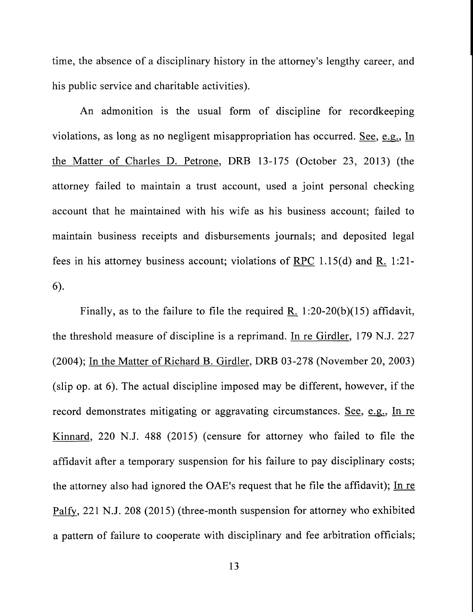time, the absence of a disciplinary history in the attorney's lengthy career, and his public service and charitable activities).

An admonition is the usual form of discipline for recordkeeping violations, as long as no negligent misappropriation has occurred. See, e.g., In the Matter of Charles D. Petrone, DRB 13-175 (October 23, 2013) (the attorney failed to maintain a trust account, used a joint personal checking account that he maintained with his wife as his business account; failed to maintain business receipts and disbursements journals; and deposited legal fees in his attorney business account; violations of RPC 1.15(d) and R. 1:21- $6$ ).

Finally, as to the failure to file the required R. 1:20-20(b)(15) affidavit, the threshold measure of discipline is a reprimand. In re Girdler, 179 N.J. 227 (2004); In the Matter of Richard B. Girdler, DRB 03-278 (November 20, 2003) (slip op. at 6). The actual discipline imposed may be different, however, if the record demonstrates mitigating or aggravating circumstances. See, e.g., In re Kinnard, 220 N.J. 488 (2015) (censure for attorney who failed to file the affidavit after a temporary suspension for his failure to pay disciplinary costs; the attorney also had ignored the OAE's request that he file the affidavit); In re Palfy, 221 N.J. 208 (2015) (three-month suspension for attorney who exhibited a pattern of failure to cooperate with disciplinary and fee arbitration officials;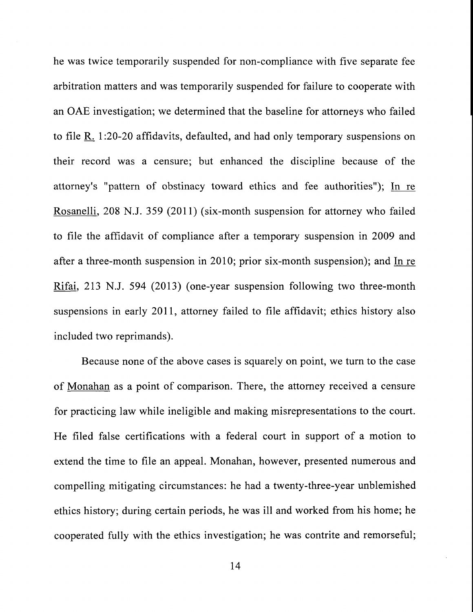he was twice temporarily suspended for non-compliance with five separate fee arbitration matters and was temporarily suspended for failure to cooperate with an OAE investigation; we determined that the baseline for attorneys who failed to file R. 1:20-20 affidavits, defaulted, and had only temporary suspensions on their record was a censure; but enhanced the discipline because of the attorney's "pattern of obstinacy toward ethics and fee authorities"); In re Rosanelli, 208 N.J. 359 (2011) (six-month suspension for attorney who failed to file the affidavit of compliance after a temporary suspension in 2009 and after a three-month suspension in 2010; prior six-month suspension); and In re Rifai, 213 N.J. 594 (2013) (one-year suspension following two three-month suspensions in early 2011, attorney failed to file affidavit; ethics history also included two reprimands).

Because none of the above cases is squarely on point, we turn to the case of Monahan as a point of comparison. There, the attorney received a censure for practicing law while ineligible and making misrepresentations to the court. He filed false certifications with a federal court in support of a motion to extend the time to file an appeal. Monahan, however, presented numerous and compelling mitigating circumstances: he had a twenty-three-year unblemished ethics history; during certain periods, he was ill and worked from his home; he cooperated fully with the ethics investigation; he was contrite and remorseful;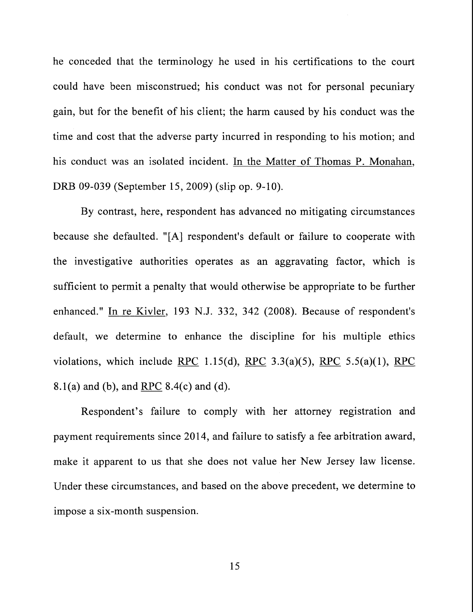he conceded that the terminology he used in his certifications to the court could have been misconstrued; his conduct was not for personal pecuniary gain, but for the benefit of his client; the harm caused by his conduct was the time and cost that the adverse party incurred in responding to his motion; and his conduct was an isolated incident. In the Matter of Thomas P. Monahan, DRB 09-039 (September 15, 2009) (slip op. 9-10).

By contrast, here, respondent has advanced no mitigating circumstances because she defaulted. "[A] respondent's default or failure to cooperate with the investigative authorities operates as an aggravating factor, which is sufficient to permit a penalty that would otherwise be appropriate to be further enhanced." In re Kivler, 193 N.J. 332, 342 (2008). Because of respondent's default, we determine to enhance the discipline for his multiple ethics violations, which include RPC 1.15(d), RPC 3.3(a)(5), RPC 5.5(a)(1), RPC 8.1(a) and (b), and RPC 8.4(c) and (d).

Respondent's failure to comply with her attorney registration and payment requirements since 2014, and failure to satisfy a fee arbitration award, make it apparent to us that she does not value her New Jersey law license. Under these circumstances, and based on the above precedent, we determine to impose a six-month suspension.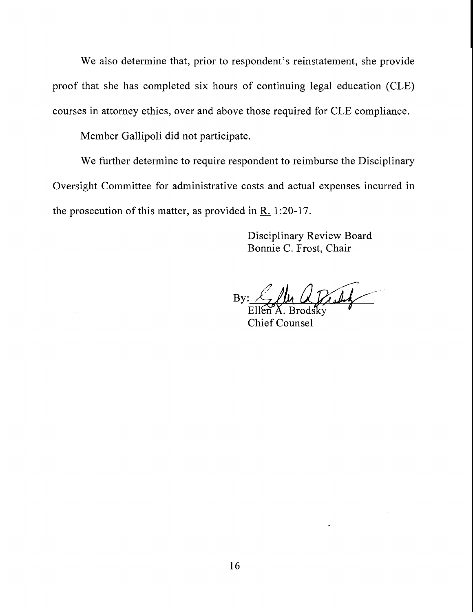We also determine that, prior to respondent's reinstatement, she provide proof that she has completed six hours of continuing legal education (CLE) courses in attorney ethics, over and above those required for CLE compliance.

Member Gallipoli did not participate.

We further determine to require respondent to reimburse the Disciplinary Oversight Committee for administrative costs and actual expenses incurred in the prosecution of this matter, as provided in  $R_{.}$  1:20-17.

> Disciplinary Review Board Bonnie C. Frost, Chair

By:

Ellt Chief Counsel